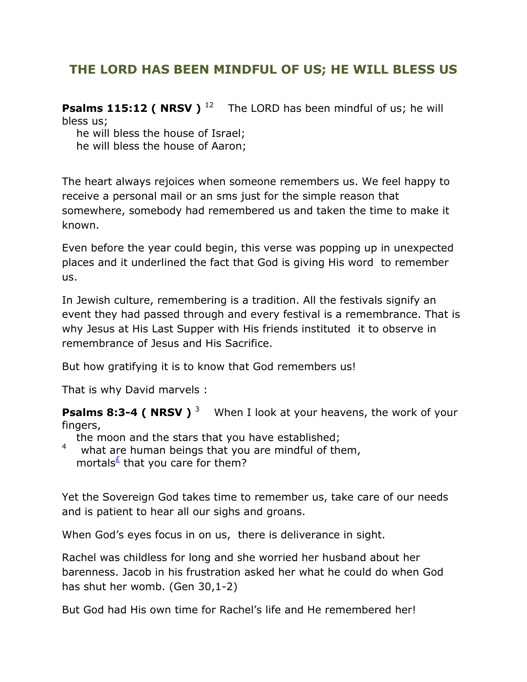## **THE LORD HAS BEEN MINDFUL OF US; HE WILL BLESS US**

**Psalms 115:12 ( NRSV )** <sup>12</sup> The LORD has been mindful of us; he will bless us;

he will bless the house of Israel;

he will bless the house of Aaron;

The heart always rejoices when someone remembers us. We feel happy to receive a personal mail or an sms just for the simple reason that somewhere, somebody had remembered us and taken the time to make it known.

Even before the year could begin, this verse was popping up in unexpected places and it underlined the fact that God is giving His word to remember us.

In Jewish culture, remembering is a tradition. All the festivals signify an event they had passed through and every festival is a remembrance. That is why Jesus at His Last Supper with His friends instituted it to observe in remembrance of Jesus and His Sacrifice.

But how gratifying it is to know that God remembers us!

That is why David marvels :

**Psalms 8:3-4 ( NRSV )**<sup>3</sup> When I look at your heavens, the work of your fingers,

the moon and the stars that you have established;

4 what are human beings that you are mindful of them, mortals<sup>[£](qv://steplinkto1%200000036519/)</sup> that you care for them?

Yet the Sovereign God takes time to remember us, take care of our needs and is patient to hear all our sighs and groans.

When God's eyes focus in on us, there is deliverance in sight.

Rachel was childless for long and she worried her husband about her barenness. Jacob in his frustration asked her what he could do when God has shut her womb. (Gen 30,1-2)

But God had His own time for Rachel's life and He remembered her!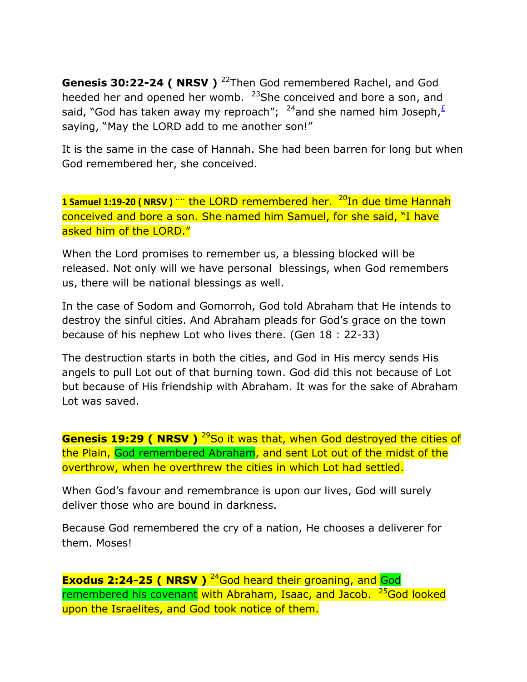**Genesis 30:22-24 ( NRSV )** <sup>22</sup>Then God remembered Rachel, and God heeded her and opened her womb. <sup>23</sup>She conceived and bore a son, and said, "God has taken away my reproach"; <sup>24</sup>and she named him Joseph,  $\frac{1}{2}$ saying, "May the LORD add to me another son!"

It is the same in the case of Hannah. She had been barren for long but when God remembered her, she conceived.

1 Samuel 1:19-20 (NRSV) <sup>....</sup> the LORD remembered her. <sup>20</sup>In due time Hannah conceived and bore a son. She named him Samuel, for she said, "I have asked him of the LORD."

When the Lord promises to remember us, a blessing blocked will be released. Not only will we have personal blessings, when God remembers us, there will be national blessings as well.

In the case of Sodom and Gomorroh, God told Abraham that He intends to destroy the sinful cities. And Abraham pleads for God's grace on the town because of his nephew Lot who lives there. (Gen 18 : 22-33)

The destruction starts in both the cities, and God in His mercy sends His angels to pull Lot out of that burning town. God did this not because of Lot but because of His friendship with Abraham. It was for the sake of Abraham Lot was saved.

**Genesis 19:29 ( NRSV )** <sup>29</sup>So it was that, when God destroyed the cities of the Plain, God remembered Abraham, and sent Lot out of the midst of the overthrow, when he overthrew the cities in which Lot had settled.

When God's favour and remembrance is upon our lives, God will surely deliver those who are bound in darkness.

Because God remembered the cry of a nation, He chooses a deliverer for them. Moses!

**Exodus 2:24-25 ( NRSV )** <sup>24</sup>God heard their groaning, and God remembered his covenant with Abraham, Isaac, and Jacob. <sup>25</sup>God looked upon the Israelites, and God took notice of them.